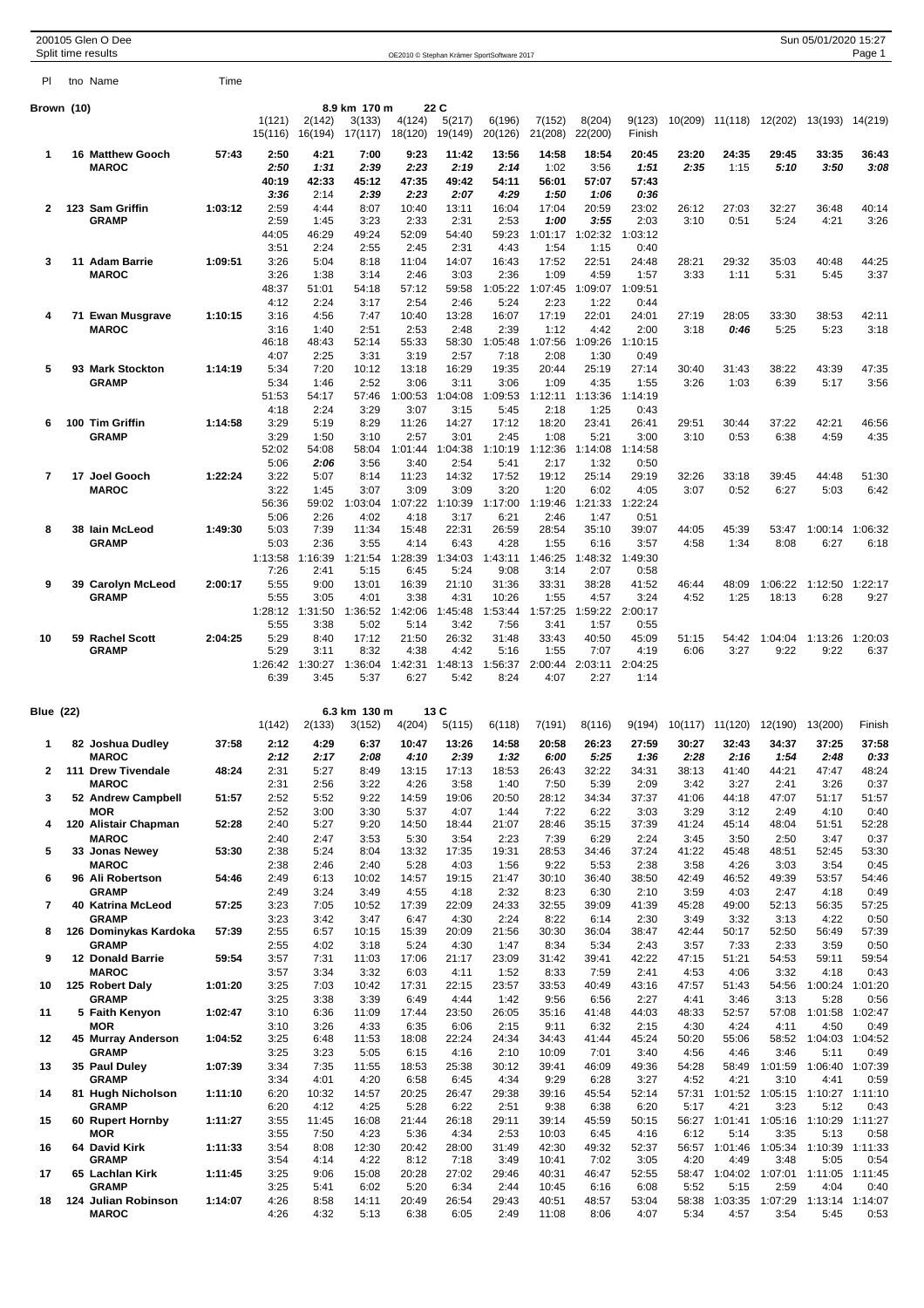|                          | 200105 Glen O Dee                    |         |                   |                                                                                                              |                                   |                   |                                            |                   |                   |                   |                  |               |                       |                               | Sun 05/01/2020 15:27    |                 |
|--------------------------|--------------------------------------|---------|-------------------|--------------------------------------------------------------------------------------------------------------|-----------------------------------|-------------------|--------------------------------------------|-------------------|-------------------|-------------------|------------------|---------------|-----------------------|-------------------------------|-------------------------|-----------------|
| PI.                      | Split time results<br>tno Name       | Time    |                   |                                                                                                              |                                   |                   | OE2010 © Stephan Krämer SportSoftware 2017 |                   |                   |                   |                  |               |                       |                               |                         | Page 1          |
|                          |                                      |         |                   |                                                                                                              |                                   |                   |                                            |                   |                   |                   |                  |               |                       |                               |                         |                 |
| Brown (10)               |                                      |         | 1(121)<br>15(116) | 2(142)<br>16(194)                                                                                            | 8.9 km 170 m<br>3(133)<br>17(117) | 4(124)<br>18(120) | 22 C<br>5(217)<br>19(149)                  | 6(196)<br>20(126) | 7(152)<br>21(208) | 8(204)<br>22(200) | 9(123)<br>Finish |               |                       | 10(209) 11(118) 12(202)       | 13(193) 14(219)         |                 |
| 1                        | <b>16 Matthew Gooch</b>              | 57:43   | 2:50              | 4:21                                                                                                         | 7:00                              | 9:23              | 11:42                                      | 13:56             | 14:58             | 18:54             | 20:45            | 23:20         | 24:35                 | 29:45                         | 33:35                   | 36:43           |
|                          | <b>MAROC</b>                         |         | 2:50<br>40:19     | 1:31<br>42:33                                                                                                | 2:39<br>45:12                     | 2:23<br>47:35     | 2:19<br>49:42                              | 2:14<br>54:11     | 1:02<br>56:01     | 3:56<br>57:07     | 1:51<br>57:43    | 2:35          | 1:15                  | 5:10                          | 3:50                    | 3:08            |
|                          |                                      |         | 3:36              | 2:14                                                                                                         | 2:39                              | 2:23              | 2:07                                       | 4:29              | 1:50              | 1:06              | 0:36             |               |                       |                               |                         |                 |
| $\mathbf{2}$             | 123 Sam Griffin<br><b>GRAMP</b>      | 1:03:12 | 2:59<br>2:59      | 4:44<br>1:45                                                                                                 | 8:07<br>3:23                      | 10:40<br>2:33     | 13:11<br>2:31                              | 16:04<br>2:53     | 17:04<br>1:00     | 20:59<br>3:55     | 23:02<br>2:03    | 26:12<br>3:10 | 27:03<br>0:51         | 32:27<br>5:24                 | 36:48<br>4:21           | 40:14<br>3:26   |
|                          |                                      |         | 44:05             | 46:29                                                                                                        | 49:24                             | 52:09             | 54:40                                      | 59:23             | 1:01:17           | 1:02:32           | 1:03:12          |               |                       |                               |                         |                 |
| 3                        | 11 Adam Barrie                       | 1:09:51 | 3:51<br>3:26      | 2:24<br>5:04                                                                                                 | 2:55<br>8:18                      | 2:45<br>11:04     | 2:31<br>14:07                              | 4:43<br>16:43     | 1:54<br>17:52     | 1:15<br>22:51     | 0:40<br>24:48    | 28:21         | 29:32                 | 35:03                         | 40:48                   | 44:25           |
|                          | <b>MAROC</b>                         |         | 3:26              | 1:38                                                                                                         | 3:14                              | 2:46              | 3:03                                       | 2:36              | 1:09              | 4:59              | 1:57             | 3:33          | 1:11                  | 5:31                          | 5:45                    | 3:37            |
|                          |                                      |         | 48:37<br>4:12     | 51:01<br>2:24                                                                                                | 54:18<br>3:17                     | 57:12<br>2:54     | 59:58<br>2:46                              | 1:05:22<br>5:24   | 1:07:45<br>2:23   | 1:09:07<br>1:22   | 1:09:51<br>0:44  |               |                       |                               |                         |                 |
| 4                        | 71 Ewan Musgrave<br><b>MAROC</b>     | 1:10:15 | 3:16<br>3:16      | 4:56<br>1:40                                                                                                 | 7:47<br>2:51                      | 10:40<br>2:53     | 13:28<br>2:48                              | 16:07<br>2:39     | 17:19<br>1:12     | 22:01<br>4:42     | 24:01<br>2:00    | 27:19<br>3:18 | 28:05<br>0:46         | 33:30<br>5:25                 | 38:53                   | 42:11           |
|                          |                                      |         | 46:18             | 48:43                                                                                                        | 52:14                             | 55:33             | 58:30                                      | 1:05:48           | 1:07:56           | 1:09:26           | 1:10:15          |               |                       |                               | 5:23                    | 3:18            |
| 5                        | 93 Mark Stockton                     | 1:14:19 | 4:07<br>5:34      | 2:25<br>7:20                                                                                                 | 3:31<br>10:12                     | 3:19<br>13:18     | 2:57<br>16:29                              | 7:18<br>19:35     | 2:08<br>20:44     | 1:30<br>25:19     | 0:49<br>27:14    | 30:40         | 31:43                 | 38:22                         | 43:39                   | 47:35           |
|                          | <b>GRAMP</b>                         |         | 5:34              | 1:46                                                                                                         | 2:52                              | 3:06              | 3:11                                       | 3:06              | 1:09              | 4:35              | 1:55             | 3:26          | 1:03                  | 6:39                          | 5:17                    | 3:56            |
|                          |                                      |         | 51:53<br>4:18     | 54:17<br>2:24                                                                                                | 57:46<br>3:29                     | 1:00:53<br>3:07   | 1:04:08<br>3:15                            | 1:09:53<br>5:45   | 1:12:11<br>2:18   | 1:13:36<br>1:25   | 1:14:19<br>0:43  |               |                       |                               |                         |                 |
| 6                        | 100 Tim Griffin                      | 1:14:58 | 3:29              | 5:19                                                                                                         | 8:29                              | 11:26             | 14:27                                      | 17:12             | 18:20             | 23:41             | 26:41            | 29:51         | 30:44                 | 37:22                         | 42:21                   | 46:56           |
|                          | <b>GRAMP</b>                         |         | 3:29<br>52:02     | 1:50<br>54:08                                                                                                | 3:10<br>58:04                     | 2:57<br>1:01:44   | 3:01<br>1:04:38                            | 2:45<br>1:10:19   | 1:08<br>1:12:36   | 5:21<br>1:14:08   | 3:00<br>1:14:58  | 3:10          | 0:53                  | 6:38                          | 4:59                    | 4:35            |
|                          |                                      |         | 5:06              | 2:06                                                                                                         | 3:56                              | 3:40              | 2:54                                       | 5:41              | 2:17              | 1:32              | 0:50             |               |                       |                               |                         |                 |
| $\overline{\phantom{a}}$ | 17 Joel Gooch<br><b>MAROC</b>        | 1:22:24 | 3:22<br>3:22      | 5:07<br>1:45                                                                                                 | 8:14<br>3:07                      | 11:23<br>3:09     | 14:32<br>3:09                              | 17:52<br>3:20     | 19:12<br>1:20     | 25:14<br>6:02     | 29:19<br>4:05    | 32:26<br>3:07 | 33:18<br>0:52         | 39:45<br>6:27                 | 44:48<br>5:03           | 51:30<br>6:42   |
|                          |                                      |         | 56:36             | 59:02                                                                                                        | 1:03:04                           | 1:07:22           | 1:10:39                                    | 1:17:00           | 1:19:46           | 1:21:33           | 1:22:24          |               |                       |                               |                         |                 |
| 8                        | 38 Iain McLeod                       | 1:49:30 | 5:06<br>5:03      | 2:26<br>7:39                                                                                                 | 4:02<br>11:34                     | 4:18<br>15:48     | 3:17<br>22:31                              | 6:21<br>26:59     | 2:46<br>28:54     | 1:47<br>35:10     | 0:51<br>39:07    | 44:05         | 45:39                 | 53:47                         | 1:00:14                 | 1:06:32         |
|                          | <b>GRAMP</b>                         |         | 5:03              | 2:36                                                                                                         | 3:55                              | 4:14              | 6:43                                       | 4:28              | 1:55              | 6:16              | 3:57             | 4:58          | 1:34                  | 8:08                          | 6:27                    | 6:18            |
|                          |                                      |         | 1:13:58<br>7:26   | 1:16:39<br>2:41                                                                                              | 1:21:54<br>5:15                   | 1:28:39<br>6:45   | 1:34:03<br>5:24                            | 1:43:11<br>9:08   | 1:46:25<br>3:14   | 1:48:32<br>2:07   | 1:49:30<br>0:58  |               |                       |                               |                         |                 |
| 9                        | 39 Carolyn McLeod                    | 2:00:17 | 5:55              | 9:00                                                                                                         | 13:01                             | 16:39             | 21:10                                      | 31:36             | 33:31             | 38:28             | 41:52            | 46:44         | 48:09                 | 1:06:22                       | 1:12:50                 | 1:22:17         |
|                          | <b>GRAMP</b>                         |         | 5:55<br>1:28:12   | 3:05<br>1:31:50                                                                                              | 4:01<br>1:36:52                   | 3:38<br>1:42:06   | 4:31<br>1:45:48                            | 10:26<br>1:53:44  | 1:55<br>1:57:25   | 4:57<br>1:59:22   | 3:24<br>2:00:17  | 4:52          | 1:25                  | 18:13                         | 6:28                    | 9:27            |
|                          |                                      |         | 5:55              | 3:38                                                                                                         | 5:02                              | 5:14              | 3:42                                       | 7:56              | 3:41              | 1:57              | 0:55             |               |                       |                               |                         |                 |
| 10                       | 59 Rachel Scott<br><b>GRAMP</b>      | 2:04:25 | 5:29<br>5:29      | 8:40<br>3:11                                                                                                 | 17:12<br>8:32                     | 21:50<br>4:38     | 26:32<br>4:42                              | 31:48<br>5:16     | 33:43<br>1:55     | 40:50<br>7:07     | 45:09<br>4:19    | 51:15<br>6:06 | 54:42<br>3:27         | 1:04:04<br>9:22               | 1:13:26<br>9:22         | 1:20:03<br>6:37 |
|                          |                                      |         | 1:26:42<br>6:39   | 1:30:27<br>3:45                                                                                              | 1:36:04<br>5:37                   | 1:42:31<br>6:27   | 1:48:13<br>5:42                            | 1:56:37<br>8:24   | 2:00:44<br>4:07   | 2:03:11<br>2:27   | 2:04:25<br>1:14  |               |                       |                               |                         |                 |
| <b>Blue (22)</b>         |                                      |         |                   |                                                                                                              | 6.3 km 130 m                      |                   | 13 C                                       |                   |                   |                   |                  |               |                       |                               |                         |                 |
|                          |                                      |         | 1(142)            | 2(133)<br>5(115)<br>6(118)<br>7(191)<br>8(116)<br>9(194) 10(117) 11(120) 12(190) 13(200)<br>3(152)<br>4(204) |                                   |                   |                                            |                   |                   |                   |                  |               |                       |                               |                         | Finish          |
| 1                        | 82 Joshua Dudley<br><b>MAROC</b>     | 37:58   | 2:12<br>2:12      | 4:29<br>2:17                                                                                                 | 6:37<br>2:08                      | 10:47<br>4:10     | 13:26<br>2:39                              | 14:58<br>1:32     | 20:58<br>6:00     | 26:23<br>5:25     | 27:59<br>1:36    | 30:27<br>2:28 | 32:43<br>2:16         | 34:37<br>1:54                 | 37:25<br>2:48           | 37:58<br>0:33   |
| $\overline{2}$           | 111 Drew Tivendale                   | 48:24   | 2:31              | 5:27                                                                                                         | 8:49                              | 13:15             | 17:13                                      | 18:53             | 26:43             | 32:22             | 34:31            | 38:13         | 41:40                 | 44:21                         | 47:47                   | 48:24           |
| 3                        | <b>MAROC</b><br>52 Andrew Campbell   | 51:57   | 2:31<br>2:52      | 2:56<br>5:52                                                                                                 | 3:22<br>9:22                      | 4:26<br>14:59     | 3:58<br>19:06                              | 1:40<br>20:50     | 7:50<br>28:12     | 5:39<br>34:34     | 2:09<br>37:37    | 3:42<br>41:06 | 3:27<br>44:18         | 2:41<br>47:07                 | 3:26<br>51:17           | 0:37<br>51:57   |
|                          | <b>MOR</b>                           |         | 2:52              | 3:00                                                                                                         | 3:30                              | 5:37              | 4:07                                       | 1:44              | 7:22              | 6:22              | 3:03             | 3:29          | 3:12                  | 2:49                          | 4:10                    | 0:40            |
| 4                        | 120 Alistair Chapman<br><b>MAROC</b> | 52:28   | 2:40<br>2:40      | 5:27<br>2:47                                                                                                 | 9:20<br>3:53                      | 14:50<br>5:30     | 18:44<br>3:54                              | 21:07<br>2:23     | 28:46<br>7:39     | 35:15<br>6:29     | 37:39<br>2:24    | 41:24<br>3:45 | 45:14<br>3:50         | 48:04<br>2:50                 | 51:51<br>3:47           | 52:28<br>0:37   |
| 5                        | 33 Jonas Newey                       | 53:30   | 2:38              | 5:24                                                                                                         | 8:04                              | 13:32             | 17:35                                      | 19:31             | 28:53             | 34:46             | 37:24            | 41:22         | 45:48                 | 48:51                         | 52:45                   | 53:30           |
| 6                        | <b>MAROC</b><br>96 Ali Robertson     | 54:46   | 2:38<br>2:49      | 2:46<br>6:13                                                                                                 | 2:40<br>10:02                     | 5:28<br>14:57     | 4:03<br>19:15                              | 1:56<br>21:47     | 9:22<br>30:10     | 5:53<br>36:40     | 2:38<br>38:50    | 3:58<br>42:49 | 4:26<br>46:52         | 3:03<br>49:39                 | 3:54<br>53:57           | 0:45<br>54:46   |
|                          | <b>GRAMP</b>                         |         | 2:49              | 3:24                                                                                                         | 3:49                              | 4:55              | 4:18                                       | 2:32              | 8:23              | 6:30              | 2:10             | 3:59          | 4:03                  | 2:47                          | 4:18                    | 0:49            |
| $\overline{\phantom{a}}$ | 40 Katrina McLeod<br><b>GRAMP</b>    | 57:25   | 3:23<br>3:23      | 7:05<br>3:42                                                                                                 | 10:52<br>3:47                     | 17:39<br>6:47     | 22:09<br>4:30                              | 24:33<br>2:24     | 32:55<br>8:22     | 39:09<br>6:14     | 41:39<br>2:30    | 45:28<br>3:49 | 49:00<br>3:32         | 52:13<br>3:13                 | 56:35<br>4:22           | 57:25<br>0:50   |
| 8                        | 126 Dominykas Kardoka                | 57:39   | 2:55              | 6:57                                                                                                         | 10:15                             | 15:39             | 20:09                                      | 21:56             | 30:30             | 36:04             | 38:47            | 42:44         | 50:17                 | 52:50                         | 56:49                   | 57:39           |
| 9                        | <b>GRAMP</b><br>12 Donald Barrie     | 59:54   | 2:55<br>3:57      | 4:02<br>7:31                                                                                                 | 3:18<br>11:03                     | 5:24<br>17:06     | 4:30<br>21:17                              | 1:47<br>23:09     | 8:34<br>31:42     | 5:34<br>39:41     | 2:43<br>42:22    | 3:57<br>47:15 | 7:33<br>51:21         | 2:33<br>54:53                 | 3:59<br>59:11           | 0:50<br>59:54   |
|                          | <b>MAROC</b>                         |         | 3:57              | 3:34                                                                                                         | 3:32                              | 6:03              | 4:11                                       | 1:52              | 8:33              | 7:59              | 2:41             | 4:53          | 4:06                  | 3:32                          | 4:18                    | 0:43            |
| 10                       | 125 Robert Daly<br><b>GRAMP</b>      | 1:01:20 | 3:25<br>3:25      | 7:03<br>3:38                                                                                                 | 10:42<br>3:39                     | 17:31<br>6:49     | 22:15<br>4:44                              | 23:57<br>1:42     | 33:53<br>9:56     | 40:49<br>6:56     | 43:16<br>2:27    | 47:57<br>4:41 | 51:43<br>3:46         | 54:56<br>3:13                 | 1:00:24<br>5:28         | 1:01:20<br>0:56 |
| 11                       | 5 Faith Kenyon                       | 1:02:47 | 3:10              | 6:36                                                                                                         | 11:09                             | 17:44             | 23:50                                      | 26:05             | 35:16             | 41:48             | 44:03            | 48:33         | 52:57                 | 57:08                         | 1:01:58                 | 1:02:47         |
| 12                       | <b>MOR</b><br>45 Murray Anderson     | 1:04:52 | 3:10<br>3:25      | 3:26<br>6:48                                                                                                 | 4:33<br>11:53                     | 6:35<br>18:08     | 6:06<br>22:24                              | 2:15<br>24:34     | 9:11<br>34:43     | 6:32<br>41:44     | 2:15<br>45:24    | 4:30<br>50:20 | 4:24<br>55:06         | 4:11<br>58:52                 | 4:50<br>1:04:03         | 0:49<br>1:04:52 |
|                          | <b>GRAMP</b>                         |         | 3:25              | 3:23                                                                                                         | 5:05                              | 6:15              | 4:16                                       | 2:10              | 10:09             | 7:01              | 3:40             | 4:56          | 4:46                  | 3:46                          | 5:11                    | 0:49            |
| 13                       | 35 Paul Duley<br><b>GRAMP</b>        | 1:07:39 | 3:34<br>3:34      | 7:35<br>4:01                                                                                                 | 11:55<br>4:20                     | 18:53<br>6:58     | 25:38<br>6:45                              | 30:12<br>4:34     | 39:41<br>9:29     | 46:09<br>6:28     | 49:36<br>3:27    | 54:28<br>4:52 | 58:49<br>4:21         | 1:01:59<br>3:10               | 1:06:40<br>4:41         | 1:07:39<br>0:59 |
| 14                       | 81 Hugh Nicholson<br><b>GRAMP</b>    | 1:11:10 | 6:20<br>6:20      | 10:32<br>4:12                                                                                                | 14:57<br>4:25                     | 20:25<br>5:28     | 26:47<br>6:22                              | 29:38<br>2:51     | 39:16<br>9:38     | 45:54<br>6:38     | 52:14<br>6:20    | 57:31<br>5:17 | 1:01:52<br>4:21       | 1:05:15<br>3:23               | 1:10:27 1:11:10<br>5:12 | 0:43            |
| 15                       | 60 Rupert Hornby                     | 1:11:27 | 3:55              | 11:45                                                                                                        | 16:08                             | 21:44             | 26:18                                      | 29:11             | 39:14             | 45:59             | 50:15            |               | 56:27 1:01:41         |                               | 1:05:16 1:10:29 1:11:27 |                 |
| 16                       | <b>MOR</b><br>64 David Kirk          | 1:11:33 | 3:55<br>3:54      | 7:50<br>8:08                                                                                                 | 4:23<br>12:30                     | 5:36<br>20:42     | 4:34<br>28:00                              | 2:53<br>31:49     | 10:03<br>42:30    | 6:45<br>49:32     | 4:16<br>52:37    | 6:12          | 5:14<br>56:57 1:01:46 | 3:35<br>1:05:34               | 5:13<br>1:10:39 1:11:33 | 0:58            |
|                          | <b>GRAMP</b>                         |         | 3:54              | 4:14                                                                                                         | 4:22                              | 8:12              | 7:18                                       | 3:49              | 10:41             | 7:02              | 3:05             | 4:20          | 4:49                  | 3:48                          | 5:05                    | 0:54            |
| 17                       | 65 Lachlan Kirk<br><b>GRAMP</b>      | 1:11:45 | 3:25<br>3:25      | 9:06<br>5:41                                                                                                 | 15:08<br>6:02                     | 20:28<br>5:20     | 27:02<br>6:34                              | 29:46<br>2:44     | 40:31<br>10:45    | 46:47<br>6:16     | 52:55<br>6:08    | 5:52          | 5:15                  | 58:47 1:04:02 1:07:01<br>2:59 | 1:11:05 1:11:45<br>4:04 | 0:40            |
| 18                       | 124 Julian Robinson                  | 1:14:07 | 4:26              | 8:58                                                                                                         | 14:11                             | 20:49             | 26:54                                      | 29:43             | 40:51             | 48:57             | 53:04            |               | 58:38 1:03:35         | 1:07:29                       | 1:13:14 1:14:07         |                 |
|                          | <b>MAROC</b>                         |         | 4:26              | 4:32                                                                                                         | 5:13                              | 6:38              | 6:05                                       | 2:49              | 11:08             | 8:06              | 4:07             | 5:34          | 4:57                  | 3:54                          | 5:45                    | 0:53            |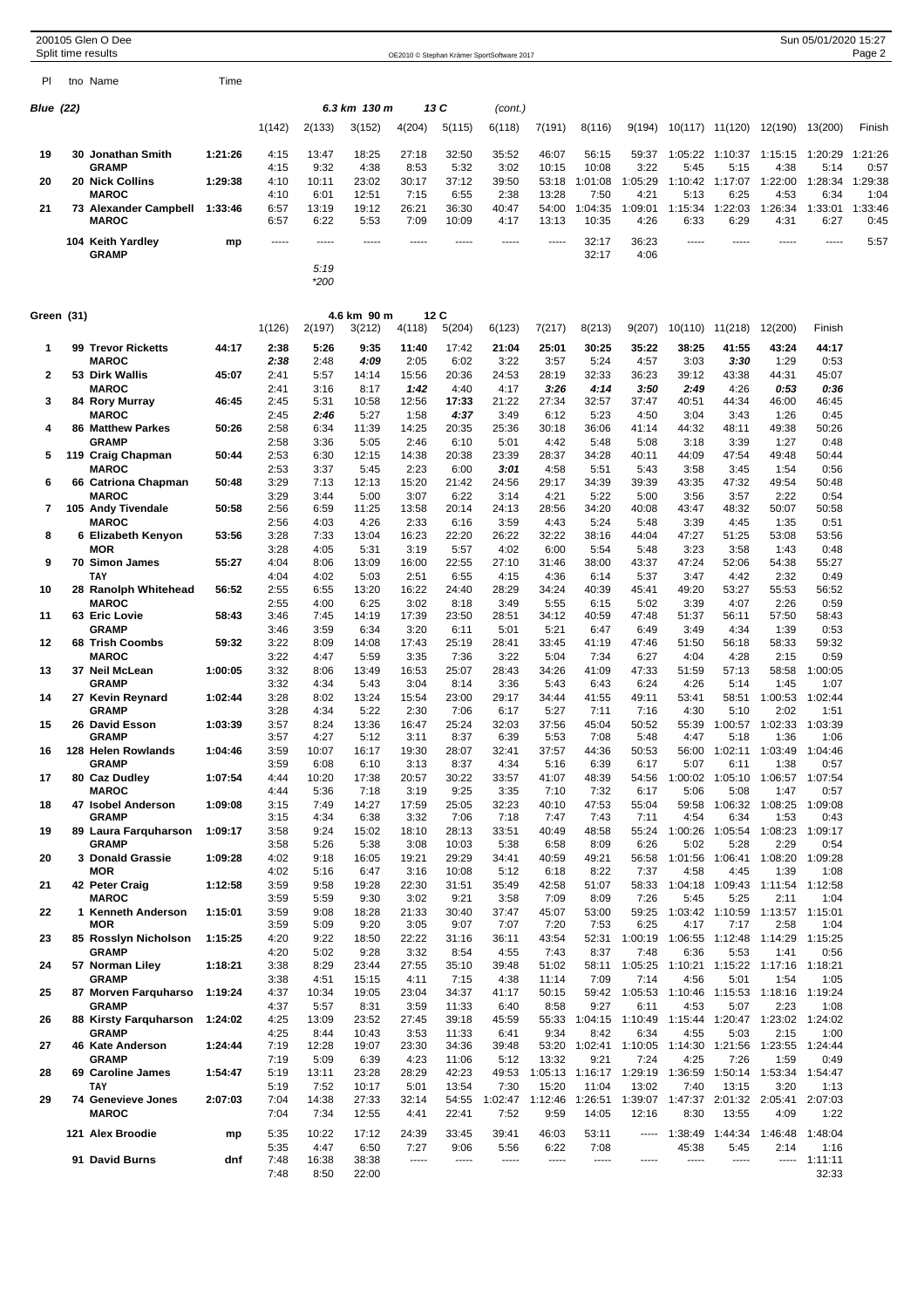| Sun 05/01/2020 15:27<br>200105 Glen O Dee<br>Split time results<br>OE2010 © Stephan Krämer SportSoftware 2017 |  |                                               |         |              |               |                |               |                |                 |                 |                               |                  |                 |                         |                                          |                         |                 |
|---------------------------------------------------------------------------------------------------------------|--|-----------------------------------------------|---------|--------------|---------------|----------------|---------------|----------------|-----------------|-----------------|-------------------------------|------------------|-----------------|-------------------------|------------------------------------------|-------------------------|-----------------|
|                                                                                                               |  |                                               |         |              |               |                |               |                |                 |                 |                               |                  |                 |                         |                                          |                         | Page 2          |
| PI                                                                                                            |  | tno Name                                      | Time    |              |               |                |               |                |                 |                 |                               |                  |                 |                         |                                          |                         |                 |
| <b>Blue (22)</b>                                                                                              |  |                                               |         |              |               | 6.3 km  130 m  |               | 13 C           | (cont.)         |                 |                               |                  |                 |                         |                                          |                         |                 |
|                                                                                                               |  |                                               |         | 1(142)       | 2(133)        | 3(152)         | 4(204)        | 5(115)         | 6(118)          | 7(191)          | 8(116)                        | 9(194)           |                 | 10(117) 11(120)         | 12(190)                                  | 13(200)                 | Finish          |
| 19                                                                                                            |  | 30 Jonathan Smith                             | 1:21:26 | 4:15         | 13:47         | 18:25          | 27:18         | 32:50          | 35:52           | 46:07           | 56:15                         | 59:37            |                 | 1:05:22 1:10:37         | 1:15:15                                  | 1:20:29                 | 1:21:26         |
| 20                                                                                                            |  | <b>GRAMP</b><br>20 Nick Collins               | 1:29:38 | 4:15<br>4:10 | 9:32<br>10:11 | 4:38<br>23:02  | 8:53<br>30:17 | 5:32<br>37:12  | 3:02<br>39:50   | 10:15<br>53:18  | 10:08<br>1:01:08              | 3:22<br>1:05:29  | 5:45            | 5:15<br>1:10:42 1:17:07 | 4:38<br>1:22:00                          | 5:14<br>1:28:34         | 0:57<br>1:29:38 |
|                                                                                                               |  | <b>MAROC</b>                                  |         | 4:10         | 6:01          | 12:51          | 7:15          | 6:55           | 2:38            | 13:28           | 7:50                          | 4:21             | 5:13            | 6:25                    | 4:53                                     | 6:34                    | 1:04            |
| 21                                                                                                            |  | 73 Alexander Campbell 1:33:46<br><b>MAROC</b> |         | 6:57<br>6:57 | 13:19<br>6:22 | 19:12<br>5:53  | 26:21<br>7:09 | 36:30<br>10:09 | 40:47<br>4:17   | 54:00<br>13:13  | 1:04:35<br>10:35              | 1:09:01<br>4:26  | 1:15:34<br>6:33 | 1:22:03<br>6:29         | 1:26:34<br>4:31                          | 1:33:01<br>6:27         | 1:33:46<br>0:45 |
|                                                                                                               |  | 104 Keith Yardley                             | mp      | -----        | -----         | -----          | -----         | $- - - - -$    | $- - - - -$     | $- - - - -$     | 32:17                         | 36:23            | -----           | -----                   | -----                                    | $- - - - -$             | 5:57            |
|                                                                                                               |  | <b>GRAMP</b>                                  |         |              | 5:19          |                |               |                |                 |                 | 32:17                         | 4:06             |                 |                         |                                          |                         |                 |
|                                                                                                               |  |                                               |         |              | *200          |                |               |                |                 |                 |                               |                  |                 |                         |                                          |                         |                 |
| Green (31)                                                                                                    |  |                                               |         |              |               | 4.6 km 90 m    |               | 12C            |                 |                 |                               |                  |                 |                         |                                          |                         |                 |
|                                                                                                               |  |                                               |         | 1(126)       | 2(197)        | 3(212)         | 4(118)        | 5(204)         | 6(123)          | 7(217)          | 8(213)                        | 9(207)           |                 | 10(110) 11(218)         | 12(200)                                  | Finish                  |                 |
| 1                                                                                                             |  | 99 Trevor Ricketts<br><b>MAROC</b>            | 44:17   | 2:38<br>2:38 | 5:26<br>2:48  | 9:35<br>4:09   | 11:40<br>2:05 | 17:42<br>6:02  | 21:04<br>3:22   | 25:01<br>3:57   | 30:25<br>5:24                 | 35:22<br>4:57    | 38:25<br>3:03   | 41:55<br>3:30           | 43:24<br>1:29                            | 44:17<br>0:53           |                 |
| 2                                                                                                             |  | 53 Dirk Wallis                                | 45:07   | 2:41         | 5:57          | 14:14          | 15:56         | 20:36          | 24:53           | 28:19           | 32:33                         | 36:23            | 39:12           | 43:38                   | 44:31                                    | 45:07                   |                 |
| 3                                                                                                             |  | <b>MAROC</b><br>84 Rory Murray                | 46:45   | 2:41<br>2:45 | 3:16<br>5:31  | 8:17<br>10:58  | 1:42<br>12:56 | 4:40<br>17:33  | 4:17<br>21:22   | 3:26<br>27:34   | 4:14<br>32:57                 | 3:50<br>37:47    | 2.49<br>40:51   | 4:26<br>44:34           | 0:53<br>46:00                            | 0:36<br>46:45           |                 |
|                                                                                                               |  | <b>MAROC</b>                                  |         | 2:45         | 2:46          | 5:27           | 1:58          | 4:37           | 3:49            | 6:12            | 5:23                          | 4:50             | 3:04            | 3:43                    | 1:26                                     | 0:45                    |                 |
| 4                                                                                                             |  | <b>86 Matthew Parkes</b><br><b>GRAMP</b>      | 50:26   | 2:58<br>2:58 | 6:34<br>3:36  | 11:39<br>5:05  | 14:25<br>2:46 | 20:35<br>6:10  | 25:36<br>5:01   | 30:18<br>4:42   | 36:06<br>5:48                 | 41:14<br>5:08    | 44:32<br>3:18   | 48:11<br>3:39           | 49:38<br>1:27                            | 50:26<br>0:48           |                 |
| 5                                                                                                             |  | 119 Craig Chapman                             | 50:44   | 2:53         | 6:30          | 12:15          | 14:38         | 20:38          | 23:39           | 28:37           | 34:28                         | 40:11            | 44:09           | 47:54                   | 49:48                                    | 50:44                   |                 |
| 6                                                                                                             |  | <b>MAROC</b><br>66 Catriona Chapman           | 50:48   | 2:53<br>3:29 | 3:37<br>7:13  | 5:45<br>12:13  | 2:23<br>15:20 | 6:00<br>21:42  | 3:01<br>24:56   | 4:58<br>29:17   | 5:51<br>34:39                 | 5:43<br>39:39    | 3:58<br>43:35   | 3:45<br>47:32           | 1:54<br>49:54                            | 0:56<br>50:48           |                 |
|                                                                                                               |  | <b>MAROC</b>                                  |         | 3:29         | 3:44          | 5:00           | 3:07          | 6:22           | 3:14            | 4:21            | 5:22                          | 5:00             | 3:56            | 3:57                    | 2:22                                     | 0:54                    |                 |
| 7                                                                                                             |  | 105 Andy Tivendale<br><b>MAROC</b>            | 50:58   | 2:56<br>2:56 | 6:59<br>4:03  | 11:25<br>4:26  | 13:58<br>2:33 | 20:14<br>6:16  | 24:13<br>3:59   | 28:56<br>4:43   | 34:20<br>5:24                 | 40:08<br>5:48    | 43:47<br>3:39   | 48:32<br>4:45           | 50:07<br>1:35                            | 50:58<br>0:51           |                 |
| 8                                                                                                             |  | 6 Elizabeth Kenyon                            | 53:56   | 3:28         | 7:33          | 13:04          | 16:23         | 22:20          | 26:22           | 32:22           | 38:16                         | 44:04            | 47:27           | 51:25                   | 53:08                                    | 53:56                   |                 |
| 9                                                                                                             |  | MOR<br>70 Simon James                         | 55:27   | 3:28<br>4:04 | 4:05<br>8:06  | 5:31<br>13:09  | 3:19<br>16:00 | 5:57<br>22:55  | 4:02<br>27:10   | 6:00<br>31:46   | 5:54<br>38:00                 | 5:48<br>43:37    | 3:23<br>47:24   | 3:58<br>52:06           | 1:43<br>54:38                            | 0:48<br>55:27           |                 |
| 10                                                                                                            |  | <b>TAY</b><br>28 Ranolph Whitehead            | 56:52   | 4:04<br>2:55 | 4:02<br>6:55  | 5:03<br>13:20  | 2:51<br>16:22 | 6:55<br>24:40  | 4:15<br>28:29   | 4:36<br>34:24   | 6:14<br>40:39                 | 5:37<br>45:41    | 3:47<br>49:20   | 4:42<br>53:27           | 2:32<br>55:53                            | 0:49<br>56:52           |                 |
|                                                                                                               |  | <b>MAROC</b>                                  |         | 2:55         | 4:00          | 6:25           | 3:02          | 8:18           | 3:49            | 5:55            | 6:15                          | 5:02             | 3:39            | 4:07                    | 2:26                                     | 0:59                    |                 |
| 11                                                                                                            |  | 63 Eric Lovie<br><b>GRAMP</b>                 | 58:43   | 3:46<br>3:46 | 7:45<br>3:59  | 14:19<br>6:34  | 17:39<br>3:20 | 23:50<br>6:11  | 28:51<br>5:01   | 34:12<br>5:21   | 40:59<br>6:47                 | 47:48<br>6:49    | 51:37<br>3:49   | 56:11<br>4:34           | 57:50<br>1:39                            | 58:43<br>0:53           |                 |
| 12                                                                                                            |  | 68 Trish Coombs                               | 59:32   | 3:22         | 8:09          | 14:08          | 17:43         | 25:19          | 28:41           | 33:45           | 41:19                         | 47:46            | 51:50           | 56:18                   | 58:33                                    | 59:32                   |                 |
| 13                                                                                                            |  | <b>MAROC</b><br>37 Neil McLean                | 1:00:05 | 3:22<br>3:32 | 4:47<br>8:06  | 5:59<br>13:49  | 3:35<br>16:53 | 7:36<br>25:07  | 3:22<br>28:43   | 5:04<br>34:26   | 7:34<br>41:09                 | 6:27<br>47:33    | 4:04<br>51:59   | 4:28<br>57:13           | 2:15<br>58:58                            | 0:59<br>1:00:05         |                 |
|                                                                                                               |  | <b>GRAMP</b>                                  |         | 3:32         | 4:34          | 5:43           | 3:04          | 8:14           | 3:36            | 5:43            | 6:43                          | 6:24             | 4:26            | 5:14                    | 1:45                                     | 1:07                    |                 |
| 14                                                                                                            |  | 27 Kevin Reynard<br><b>GRAMP</b>              | 1:02:44 | 3:28<br>3:28 | 8:02<br>4:34  | 13:24<br>5:22  | 15:54<br>2:30 | 23:00<br>7:06  | 29:17<br>6:17   | 34:44<br>5:27   | 41:55<br>7:11                 | 49:11<br>7:16    | 53:41<br>4:30   | 58:51<br>5:10           | 1:00:53<br>2:02                          | 1:02:44<br>1:51         |                 |
| 15                                                                                                            |  | 26 David Esson<br><b>GRAMP</b>                | 1:03:39 | 3:57         | 8:24<br>4:27  | 13:36          | 16:47<br>3:11 | 25:24          | 32:03<br>6:39   | 37:56<br>5:53   | 45:04<br>7:08                 | 50:52<br>5:48    | 4:47            | 5:18                    | 55:39  1:00:57  1:02:33  1:03:39<br>1:36 | 1:06                    |                 |
| 16                                                                                                            |  | 128 Helen Rowlands                            | 1:04:46 | 3:57<br>3:59 | 10:07         | 5:12<br>16:17  | 19:30         | 8:37<br>28:07  | 32:41           | 37:57           | 44:36                         | 50:53            | 56:00           | 1:02:11                 | 1:03:49                                  | 1:04:46                 |                 |
| 17                                                                                                            |  | <b>GRAMP</b><br>80 Caz Dudley                 | 1:07:54 | 3:59<br>4:44 | 6:08<br>10:20 | 6:10<br>17:38  | 3:13<br>20:57 | 8:37<br>30:22  | 4:34<br>33:57   | 5:16<br>41:07   | 6:39<br>48:39                 | 6:17<br>54:56    | 5:07            | 6:11<br>1:00:02 1:05:10 | 1:38                                     | 0:57<br>1:06:57 1:07:54 |                 |
|                                                                                                               |  | <b>MAROC</b>                                  |         | 4:44         | 5:36          | 7:18           | 3:19          | 9:25           | 3:35            | 7:10            | 7:32                          | 6:17             | 5:06            | 5:08                    | 1:47                                     | 0:57                    |                 |
| 18                                                                                                            |  | 47 Isobel Anderson<br><b>GRAMP</b>            | 1:09:08 | 3:15<br>3:15 | 7:49<br>4:34  | 14:27<br>6:38  | 17:59<br>3:32 | 25:05<br>7:06  | 32:23<br>7:18   | 40:10<br>7:47   | 47:53<br>7:43                 | 55:04<br>7:11    | 59:58<br>4:54   | 1:06:32<br>6:34         | 1:08:25<br>1:53                          | 1:09:08<br>0:43         |                 |
| 19                                                                                                            |  | 89 Laura Farquharson<br><b>GRAMP</b>          | 1:09:17 | 3:58<br>3:58 | 9:24<br>5:26  | 15:02<br>5:38  | 18:10         | 28:13          | 33:51           | 40:49           | 48:58                         | 55:24<br>6:26    | 5:02            | 1:00:26 1:05:54<br>5:28 | 1:08:23<br>2:29                          | 1:09:17                 |                 |
| 20                                                                                                            |  | 3 Donald Grassie                              | 1:09:28 | 4:02         | 9:18          | 16:05          | 3:08<br>19:21 | 10:03<br>29:29 | 5:38<br>34:41   | 6:58<br>40:59   | 8:09<br>49:21                 | 56:58            |                 | 1:01:56 1:06:41         | 1:08:20                                  | 0:54<br>1:09:28         |                 |
| 21                                                                                                            |  | <b>MOR</b><br>42 Peter Craig                  | 1:12:58 | 4:02<br>3:59 | 5:16<br>9:58  | 6:47<br>19:28  | 3:16<br>22:30 | 10:08<br>31:51 | 5:12<br>35:49   | 6:18<br>42:58   | 8:22<br>51:07                 | 7:37<br>58:33    | 4:58            | 4:45<br>1:04:18 1:09:43 | 1:39<br>1:11:54                          | 1:08<br>1:12:58         |                 |
|                                                                                                               |  | <b>MAROC</b>                                  |         | 3:59         | 5:59          | 9:30           | 3:02          | 9:21           | 3:58            | 7:09            | 8:09                          | 7:26             | 5:45            | 5:25                    | 2:11                                     | 1:04                    |                 |
| 22                                                                                                            |  | 1 Kenneth Anderson<br>MOR                     | 1:15:01 | 3:59<br>3:59 | 9:08<br>5:09  | 18:28<br>9:20  | 21:33<br>3:05 | 30:40<br>9:07  | 37:47<br>7:07   | 45:07<br>7:20   | 53:00<br>7:53                 | 59:25<br>6:25    | 4:17            | 1:03:42 1:10:59<br>7:17 | 1:13:57<br>2:58                          | 1:15:01<br>1:04         |                 |
| 23                                                                                                            |  | 85 Rosslyn Nicholson                          | 1:15:25 | 4:20         | 9:22          | 18:50          | 22:22         | 31:16          | 36:11           | 43:54           | 52:31                         | 1:00:19          |                 | 1:06:55 1:12:48         | 1:14:29                                  | 1:15:25                 |                 |
| 24                                                                                                            |  | <b>GRAMP</b><br>57 Norman Liley               | 1:18:21 | 4:20<br>3:38 | 5:02<br>8:29  | 9:28<br>23:44  | 3:32<br>27:55 | 8:54<br>35:10  | 4:55<br>39:48   | 7:43<br>51:02   | 8:37<br>58:11                 | 7:48<br>1:05:25  | 6:36            | 5:53<br>1:10:21 1:15:22 | 1:41<br>1:17:16                          | 0:56<br>1:18:21         |                 |
| 25                                                                                                            |  | <b>GRAMP</b>                                  |         | 3:38         | 4:51          | 15:15          | 4:11<br>23:04 | 7:15<br>34:37  | 4:38            | 11:14           | 7:09                          | 7:14<br>1:05:53  | 4:56            | 5:01<br>1:10:46 1:15:53 | 1:54<br>1:18:16 1:19:24                  | 1:05                    |                 |
|                                                                                                               |  | 87 Morven Farquharso<br><b>GRAMP</b>          | 1:19:24 | 4:37<br>4:37 | 10:34<br>5:57 | 19:05<br>8:31  | 3:59          | 11:33          | 41:17<br>6:40   | 50:15<br>8:58   | 59:42<br>9:27                 | 6:11             | 4:53            | 5:07                    | 2:23                                     | 1:08                    |                 |
| 26                                                                                                            |  | 88 Kirsty Farquharson 1:24:02<br><b>GRAMP</b> |         | 4:25<br>4:25 | 13:09<br>8:44 | 23:52<br>10:43 | 27:45<br>3:53 | 39:18<br>11:33 | 45:59<br>6:41   | 9:34            | 55:33 1:04:15 1:10:49<br>8:42 | 6:34             | 4:55            | 5:03                    | 1:15:44 1:20:47 1:23:02 1:24:02<br>2:15  | 1:00                    |                 |
| 27                                                                                                            |  | 46 Kate Anderson                              | 1:24:44 | 7:19         | 12:28         | 19:07          | 23:30         | 34:36          | 39:48           |                 | 53:20 1:02:41 1:10:05         |                  |                 | 1:14:30 1:21:56         | 1:23:55                                  | 1:24:44                 |                 |
| 28                                                                                                            |  | <b>GRAMP</b><br>69 Caroline James             | 1:54:47 | 7:19<br>5:19 | 5:09<br>13:11 | 6:39<br>23:28  | 4:23<br>28:29 | 11:06<br>42:23 | 5:12<br>49:53   | 13:32           | 9:21<br>1:05:13 1:16:17       | 7:24<br>1:29:19  | 4:25            | 7:26<br>1:36:59 1:50:14 | 1:59<br>1:53:34                          | 0:49<br>1:54:47         |                 |
|                                                                                                               |  | <b>TAY</b>                                    |         | 5:19         | 7:52          | 10:17          | 5:01          | 13:54          | 7:30            | 15:20           | 11:04                         | 13:02            | 7:40            | 13:15                   | 3:20                                     | 1:13                    |                 |
| 29                                                                                                            |  | <b>74 Genevieve Jones</b><br><b>MAROC</b>     | 2:07:03 | 7:04<br>7:04 | 14:38<br>7:34 | 27:33<br>12:55 | 32:14<br>4:41 | 54:55<br>22:41 | 1:02:47<br>7:52 | 1:12:46<br>9:59 | 1:26:51<br>14:05              | 1:39:07<br>12:16 | 1:47:37<br>8:30 | 13:55                   | 2:01:32 2:05:41<br>4:09                  | 2:07:03<br>1:22         |                 |
|                                                                                                               |  | 121 Alex Broodie                              | mp      | 5:35         | 10:22         | 17:12          | 24:39         | 33:45          | 39:41           | 46:03           | 53:11                         | -----            | 1:38:49         | 1:44:34                 | 1:46:48                                  | 1:48:04                 |                 |
|                                                                                                               |  | 91 David Burns                                | dnf     | 5:35<br>7:48 | 4:47<br>16:38 | 6:50<br>38:38  | 7:27<br>----- | 9:06<br>-----  | 5:56<br>-----   | 6:22<br>-----   | 7:08<br>-----                 | $- - - - -$      | 45:38<br>-----  | 5:45<br>-----           | 2:14                                     | 1:16<br>$--- 1:11:11$   |                 |
|                                                                                                               |  |                                               |         | 7:48         | 8:50          | 22:00          |               |                |                 |                 |                               |                  |                 |                         |                                          | 32:33                   |                 |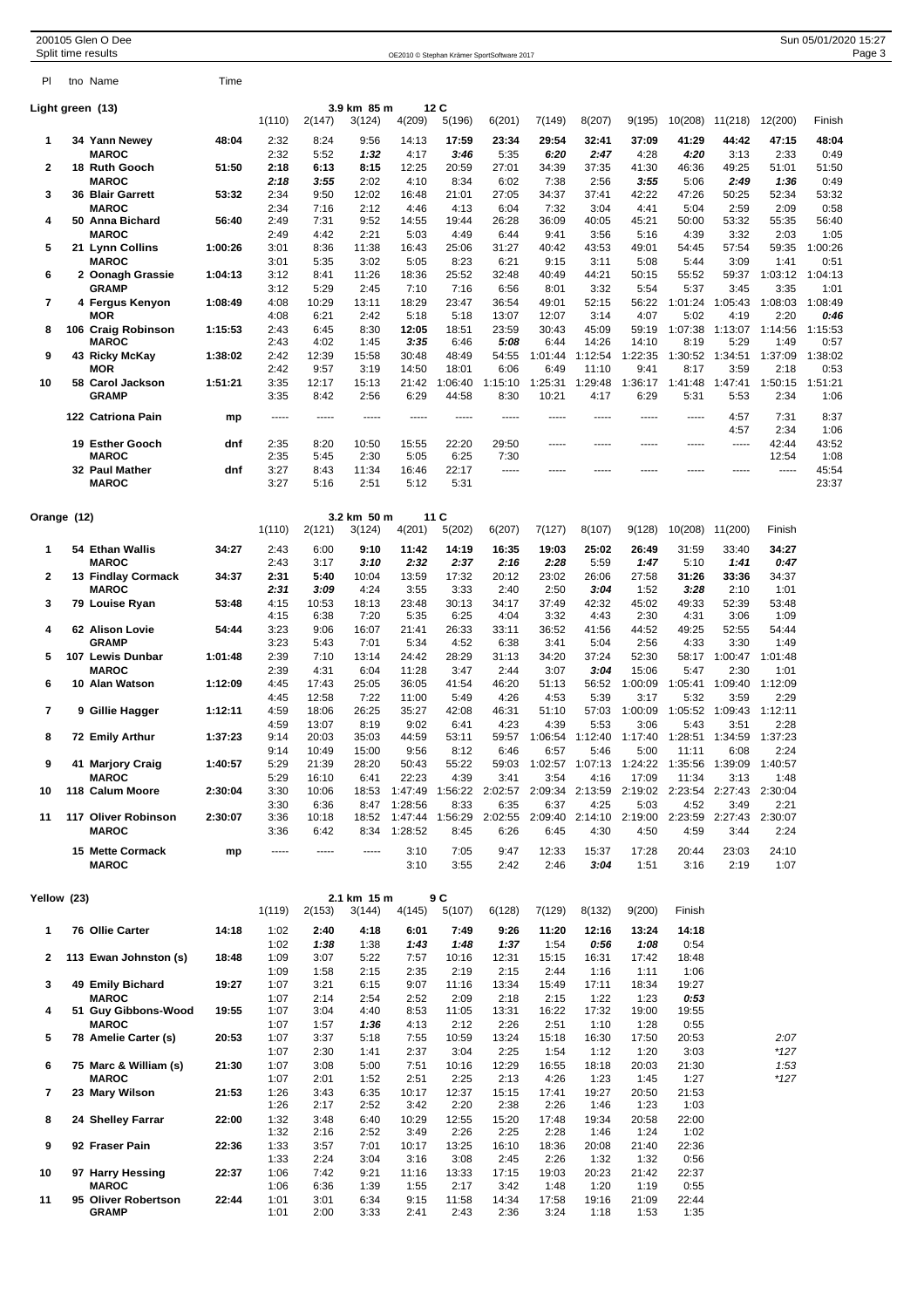|                | 200105 Glen O Dee<br>Split time results |         |              |                |                       |                    |                  | OE2010 © Stephan Krämer SportSoftware 2017 |                  |                                 |                  |                  |                         |                 | Sun 05/01/2020 15:27 | Page 3 |
|----------------|-----------------------------------------|---------|--------------|----------------|-----------------------|--------------------|------------------|--------------------------------------------|------------------|---------------------------------|------------------|------------------|-------------------------|-----------------|----------------------|--------|
| PI.            | tno Name                                | Time    |              |                |                       |                    |                  |                                            |                  |                                 |                  |                  |                         |                 |                      |        |
|                | Light green (13)                        |         |              |                | 3.9 km 85 m           |                    | 12 C             |                                            |                  |                                 |                  |                  |                         |                 |                      |        |
|                | 34 Yann Newey                           |         | 1(110)       | 2(147)         | 3(124)                | 4(209)             | 5(196)           | 6(201)                                     | 7(149)           | 8(207)                          | 9(195)           | 10(208)          | 11(218)                 | 12(200)         | Finish               |        |
| 1              | <b>MAROC</b>                            | 48:04   | 2:32<br>2:32 | 8:24<br>5:52   | 9:56<br>1:32          | 14:13<br>4:17      | 17:59<br>3:46    | 23:34<br>5:35                              | 29:54<br>6:20    | 32:41<br>2:47                   | 37:09<br>4:28    | 41:29<br>4:20    | 44:42<br>3:13           | 47:15<br>2:33   | 48:04<br>0:49        |        |
| $\overline{2}$ | 18 Ruth Gooch<br><b>MAROC</b>           | 51:50   | 2:18<br>2:18 | 6:13<br>3:55   | 8:15<br>2:02          | 12:25<br>4:10      | 20:59<br>8:34    | 27:01<br>6:02                              | 34:39<br>7:38    | 37:35<br>2:56                   | 41:30<br>3:55    | 46:36<br>5:06    | 49:25<br>2:49           | 51:01<br>1:36   | 51:50<br>0:49        |        |
| 3              | 36 Blair Garrett                        | 53:32   | 2:34         | 9:50           | 12:02                 | 16:48              | 21:01            | 27:05                                      | 34:37            | 37:41                           | 42:22            | 47:26            | 50:25                   | 52:34           | 53:32                |        |
| 4              | <b>MAROC</b><br>50 Anna Bichard         | 56:40   | 2:34<br>2:49 | 7:16<br>7:31   | 2:12<br>9:52          | 4:46<br>14:55      | 4:13<br>19:44    | 6:04<br>26:28                              | 7:32<br>36:09    | 3:04<br>40:05                   | 4:41<br>45:21    | 5:04<br>50:00    | 2:59<br>53:32           | 2:09<br>55:35   | 0:58<br>56:40        |        |
| 5              | <b>MAROC</b><br>21 Lynn Collins         | 1:00:26 | 2:49<br>3:01 | 4:42<br>8:36   | 2:21<br>11:38         | 5:03<br>16:43      | 4:49<br>25:06    | 6:44<br>31:27                              | 9:41<br>40:42    | 3:56<br>43:53                   | 5:16<br>49:01    | 4:39<br>54:45    | 3:32<br>57:54           | 2:03<br>59:35   | 1:05<br>1:00:26      |        |
|                | <b>MAROC</b>                            |         | 3:01         | 5:35           | 3:02                  | 5:05               | 8:23             | 6:21                                       | 9:15             | 3:11                            | 5:08             | 5:44             | 3:09                    | 1:41            | 0:51                 |        |
| 6              | 2  Oonagh Grassie<br><b>GRAMP</b>       | 1:04:13 | 3:12<br>3:12 | 8:41<br>5:29   | 11:26<br>2:45         | 18:36<br>7:10      | 25:52<br>7:16    | 32:48<br>6:56                              | 40:49<br>8:01    | 44:21<br>3:32                   | 50:15<br>5:54    | 55:52<br>5:37    | 59:37<br>3:45           | 1:03:12<br>3:35 | 1:04:13<br>1:01      |        |
| $\overline{7}$ | 4 Fergus Kenyon                         | 1:08:49 | 4:08         | 10:29          | 13:11                 | 18:29              | 23:47            | 36:54                                      | 49:01            | 52:15                           | 56:22            | 1:01:24          | 1:05:43                 | 1:08:03         | 1:08:49              |        |
| 8              | MOR<br>106 Craig Robinson               | 1:15:53 | 4:08<br>2:43 | 6:21<br>6:45   | 2:42<br>8:30          | 5:18<br>12:05      | 5:18<br>18:51    | 13:07<br>23:59                             | 12:07<br>30:43   | 3:14<br>45:09                   | 4:07<br>59:19    | 5:02<br>1:07:38  | 4:19<br>1:13:07         | 2:20<br>1:14:56 | 0:46<br>1:15:53      |        |
| 9              | <b>MAROC</b><br>43 Ricky McKay          | 1:38:02 | 2:43<br>2:42 | 4:02<br>12:39  | 1:45<br>15:58         | 3:35<br>30:48      | 6:46<br>48:49    | 5:08<br>54:55                              | 6:44<br>1:01:44  | 14:26<br>1:12:54                | 14:10<br>1:22:35 | 8:19<br>1:30:52  | 5:29<br>1:34:51         | 1:49<br>1:37:09 | 0:57<br>1:38:02      |        |
|                | <b>MOR</b>                              |         | 2:42         | 9:57           | 3:19                  | 14:50              | 18:01            | 6:06                                       | 6:49             | 11:10                           | 9:41             | 8:17             | 3:59                    | 2:18            | 0:53                 |        |
| 10             | 58 Carol Jackson<br><b>GRAMP</b>        | 1:51:21 | 3:35<br>3:35 | 12:17<br>8:42  | 15:13<br>2:56         | 21:42<br>6:29      | 1:06:40<br>44:58 | 1:15:10<br>8:30                            | 1:25:31<br>10:21 | 1:29:48<br>4:17                 | 1:36:17<br>6:29  | 1:41:48<br>5:31  | 1:47:41<br>5:53         | 1:50:15<br>2:34 | 1:51:21<br>1:06      |        |
|                | 122 Catriona Pain                       | mp      | -----        | -----          | -----                 | -----              | -----            | $- - - - -$                                | -----            | -----                           | -----            | -----            | 4:57<br>4:57            | 7:31<br>2:34    | 8:37<br>1:06         |        |
|                | 19 Esther Gooch                         | dnf     | 2:35<br>2:35 | 8:20<br>5:45   | 10:50<br>2:30         | 15:55<br>5:05      | 22:20<br>6:25    | 29:50<br>7:30                              | -----            | -----                           | $- - - - -$      | $- - - - -$      | -----                   | 42:44<br>12:54  | 43:52<br>1:08        |        |
|                | <b>MAROC</b><br>32 Paul Mather          | dnf     | 3:27         | 8:43           | 11:34                 | 16:46              | 22:17            | -----                                      | -----            |                                 |                  | -----            | -----                   | -----           | 45:54                |        |
|                | <b>MAROC</b>                            |         | 3:27         | 5:16           | 2:51                  | 5:12               | 5:31             |                                            |                  |                                 |                  |                  |                         |                 | 23:37                |        |
| Orange (12)    |                                         |         |              |                | 3.2 km 50 m           |                    | 11C              |                                            |                  |                                 |                  |                  |                         |                 |                      |        |
|                |                                         |         | 1(110)       | 2(121)         | 3(124)                | 4(201)             | 5(202)           | 6(207)                                     | 7(127)           | 8(107)                          | 9(128)           | 10(208) 11(200)  |                         | Finish          |                      |        |
| 1              | 54 Ethan Wallis<br><b>MAROC</b>         | 34:27   | 2:43<br>2:43 | 6:00<br>3:17   | 9:10<br>3:10          | 11:42<br>2:32      | 14:19<br>2:37    | 16:35<br>2:16                              | 19:03<br>2:28    | 25:02<br>5:59                   | 26:49<br>1:47    | 31:59<br>5:10    | 33:40<br>1:41           | 34:27<br>0:47   |                      |        |
| 2              | 13 Findlay Cormack<br><b>MAROC</b>      | 34:37   | 2:31<br>2:31 | 5:40<br>3:09   | 10:04<br>4:24         | 13:59<br>3:55      | 17:32<br>3:33    | 20:12<br>2:40                              | 23:02<br>2:50    | 26:06<br>3:04                   | 27:58<br>1:52    | 31:26<br>3:28    | 33:36<br>2:10           | 34:37<br>1:01   |                      |        |
| 3              | 79 Louise Ryan                          | 53:48   | 4:15         | 10:53          | 18:13                 | 23:48              | 30:13            | 34:17                                      | 37:49            | 42:32                           | 45:02            | 49:33            | 52:39                   | 53:48           |                      |        |
| 4              | 62 Alison Lovie                         | 54:44   | 4:15<br>3:23 | 6:38<br>9:06   | 7:20<br>16:07         | 5:35<br>21:41      | 6:25<br>26:33    | 4:04<br>33:11                              | 3:32<br>36:52    | 4:43<br>41:56                   | 2:30<br>44:52    | 4:31<br>49:25    | 3:06<br>52:55           | 1:09<br>54:44   |                      |        |
| 5              | <b>GRAMP</b><br>107 Lewis Dunbar        | 1:01:48 | 3:23<br>2:39 | 5:43<br>7:10   | 7:01<br>13:14         | 5:34<br>24:42      | 4:52<br>28:29    | 6:38<br>31:13                              | 3:41<br>34:20    | 5:04<br>37:24                   | 2:56<br>52:30    | 4:33<br>58:17    | 3:30<br>1:00:47         | 1:49<br>1:01:48 |                      |        |
|                | <b>MAROC</b>                            |         | 2:39         | 4:31           | 6:04                  | 11:28              | 3:47             | 2:44                                       | 3:07             | 3:04                            | 15:06            | 5:47             | 2:30                    | 1:01            |                      |        |
| 6              | 10 Alan Watson                          | 1:12:09 | 4:45<br>4:45 | 17:43<br>12:58 | 25:05<br>7:22         | 36:05<br>11:00     | 41:54<br>5:49    | 46:20<br>4:26                              | 51:13<br>4:53    | 56:52<br>5:39                   | 1:00:09<br>3:17  | 1:05:41<br>5:32  | 1:09:40<br>3:59         | 1:12:09<br>2:29 |                      |        |
| $\overline{7}$ | 9  Gillie Hagger                        | 1:12:11 | 4:59         | 18:06          | 26:25                 | 35:27              | 42:08            | 46:31                                      | 51:10            | 57:03                           | 1:00:09          | 1:05:52          | 1:09:43                 | 1:12:11         |                      |        |
| 8              | 72 Emily Arthur                         | 1:37:23 | 4:59<br>9:14 | 13:07<br>20:03 | 8:19<br>35:03         | 9:02<br>44:59      | 6:41<br>53:11    | 4:23<br>59:57                              | 4:39             | 5:53<br>1:06:54 1:12:40 1:17:40 | 3:06             | 5:43             | 3:51<br>1:28:51 1:34:59 | 2:28<br>1:37:23 |                      |        |
| 9              | 41 Marjory Craig                        | 1:40:57 | 9:14<br>5:29 | 10:49<br>21:39 | 15:00<br>28:20        | 9:56<br>50:43      | 8:12<br>55:22    | 6:46<br>59:03                              | 6:57<br>1:02:57  | 5:46<br>1:07:13                 | 5:00<br>1:24:22  | 11:11<br>1:35:56 | 6:08<br>1:39:09         | 2:24<br>1:40:57 |                      |        |
|                | <b>MAROC</b>                            |         | 5:29         | 16:10          | 6:41                  | 22:23              | 4:39             | 3:41                                       | 3:54             | 4:16                            | 17:09            | 11:34            | 3:13                    | 1:48            |                      |        |
| 10             | 118 Calum Moore                         | 2:30:04 | 3:30<br>3:30 | 10:06<br>6:36  | 18:53<br>8:47         | 1:47:49<br>1:28:56 | 1:56:22<br>8:33  | 2:02:57<br>6:35                            | 2:09:34<br>6:37  | 2:13:59<br>4:25                 | 2:19:02<br>5:03  | 2:23:54<br>4:52  | 2:27:43<br>3:49         | 2:30:04<br>2:21 |                      |        |
| 11             | 117 Oliver Robinson<br><b>MAROC</b>     | 2:30:07 | 3:36<br>3:36 | 10:18<br>6:42  | 18:52<br>8:34         | 1:47:44<br>1:28:52 | 1:56:29<br>8:45  | 2:02:55<br>6:26                            | 6:45             | 2:09:40 2:14:10<br>4:30         | 2:19:00<br>4:50  | 2:23:59<br>4:59  | 2:27:43<br>3:44         | 2:30:07<br>2:24 |                      |        |
|                | 15 Mette Cormack                        | mp      | -----        | -----          | -----                 | 3:10               | 7:05             | 9:47                                       | 12:33            | 15:37                           | 17:28            | 20:44            | 23:03                   | 24:10           |                      |        |
|                | <b>MAROC</b>                            |         |              |                |                       | 3:10               | 3:55             | 2:42                                       | 2:46             | 3:04                            | 1:51             | 3:16             | 2:19                    | 1:07            |                      |        |
| Yellow (23)    |                                         |         | 1(119)       | 2(153)         | 2.1 km 15 m<br>3(144) | 4(145)             | 9 C<br>5(107)    | 6(128)                                     | 7(129)           | 8(132)                          | 9(200)           | Finish           |                         |                 |                      |        |
| 1              | 76 Ollie Carter                         | 14:18   | 1:02         | 2:40           | 4:18                  | 6:01               | 7:49             | 9:26                                       | 11:20            | 12:16                           | 13:24            | 14:18            |                         |                 |                      |        |
| 2              | 113 Ewan Johnston (s)                   | 18:48   | 1:02<br>1:09 | 1:38<br>3:07   | 1:38<br>5:22          | 1:43<br>7:57       | 1:48<br>10:16    | 1:37<br>12:31                              | 1:54<br>15:15    | 0:56<br>16:31                   | 1:08<br>17:42    | 0:54<br>18:48    |                         |                 |                      |        |
|                |                                         |         | 1:09         | 1:58           | 2:15                  | 2:35               | 2:19             | 2:15                                       | 2:44             | 1:16                            | 1:11             | 1:06             |                         |                 |                      |        |
| 3              | 49 Emily Bichard<br><b>MAROC</b>        | 19:27   | 1:07<br>1:07 | 3:21<br>2:14   | 6:15<br>2:54          | 9:07<br>2:52       | 11:16<br>2:09    | 13:34<br>2:18                              | 15:49<br>2:15    | 17:11<br>1:22                   | 18:34<br>1:23    | 19:27<br>0:53    |                         |                 |                      |        |
| 4              | 51 Guy Gibbons-Wood<br><b>MAROC</b>     | 19:55   | 1:07<br>1:07 | 3:04<br>1:57   | 4:40<br>1:36          | 8:53<br>4:13       | 11:05<br>2:12    | 13:31<br>2:26                              | 16:22<br>2:51    | 17:32<br>1:10                   | 19:00<br>1:28    | 19:55<br>0:55    |                         |                 |                      |        |
| 5              | 78 Amelie Carter (s)                    | 20:53   | 1:07         | 3:37           | 5:18                  | 7:55               | 10:59            | 13:24                                      | 15:18            | 16:30                           | 17:50            | 20:53            |                         | 2:07            |                      |        |
| 6              | 75 Marc & William (s)                   | 21:30   | 1:07<br>1:07 | 2:30<br>3:08   | 1:41<br>5:00          | 2:37<br>7:51       | 3:04<br>10:16    | 2:25<br>12:29                              | 1:54<br>16:55    | 1:12<br>18:18                   | 1:20<br>20:03    | 3:03<br>21:30    |                         | $*127$<br>1:53  |                      |        |
|                | <b>MAROC</b>                            |         | 1:07         | 2:01           | 1:52                  | 2:51               | 2:25             | 2:13                                       | 4:26             | 1:23                            | 1:45             | 1:27             |                         | *127            |                      |        |
| 7              | 23 Mary Wilson                          | 21:53   | 1:26<br>1:26 | 3:43<br>2:17   | 6:35<br>2:52          | 10:17<br>3:42      | 12:37<br>2:20    | 15:15<br>2:38                              | 17:41<br>2:26    | 19:27<br>1:46                   | 20:50<br>1:23    | 21:53<br>1:03    |                         |                 |                      |        |
| 8              | 24 Shelley Farrar                       | 22:00   | 1:32<br>1:32 | 3:48<br>2:16   | 6:40<br>2:52          | 10:29<br>3:49      | 12:55<br>2:26    | 15:20<br>2:25                              | 17:48<br>2:28    | 19:34<br>1:46                   | 20:58<br>1:24    | 22:00<br>1:02    |                         |                 |                      |        |
| 9              | 92 Fraser Pain                          | 22:36   | 1:33         | 3:57           | 7:01                  | 10:17              | 13:25            | 16:10                                      | 18:36            | 20:08                           | 21:40            | 22:36            |                         |                 |                      |        |
| 10             | 97 Harry Hessing                        | 22:37   | 1:33<br>1:06 | 2:24<br>7:42   | 3:04<br>9:21          | 3:16<br>11:16      | 3:08<br>13:33    | 2:45<br>17:15                              | 2:26<br>19:03    | 1:32<br>20:23                   | 1:32<br>21:42    | 0:56<br>22:37    |                         |                 |                      |        |
|                | <b>MAROC</b>                            |         | 1:06         | 6:36           | 1:39                  | 1:55               | 2:17             | 3:42                                       | 1:48             | 1:20                            | 1:19             | 0:55             |                         |                 |                      |        |
| 11             | 95 Oliver Robertson<br><b>GRAMP</b>     | 22:44   | 1:01<br>1:01 | 3:01<br>2:00   | 6:34<br>3:33          | 9:15<br>2:41       | 11:58<br>2:43    | 14:34<br>2:36                              | 17:58<br>3:24    | 19:16<br>1:18                   | 21:09<br>1:53    | 22:44<br>1:35    |                         |                 |                      |        |